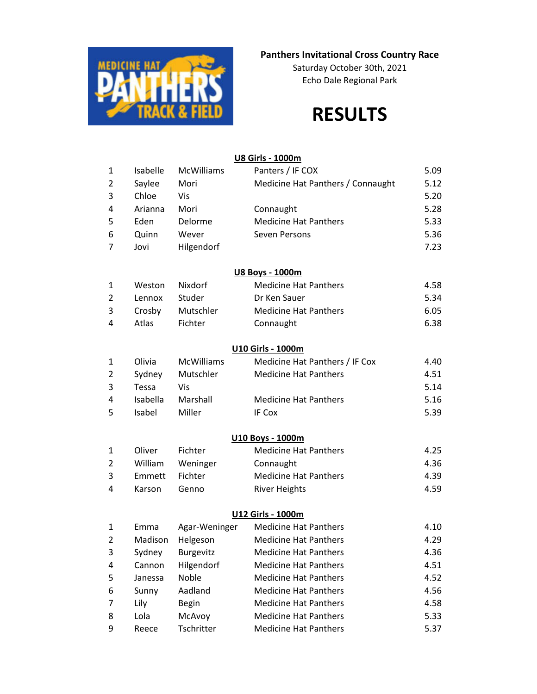

## **Panthers Invitational Cross Country Race**

Saturday October 30th, 2021 Echo Dale Regional Park

# **RESULTS**

#### **U8 Girls - 1000m**

| $\mathbf{1}$   | Isabelle | <b>McWilliams</b> | Panters / IF COX                  | 5.09 |
|----------------|----------|-------------------|-----------------------------------|------|
| $\overline{2}$ | Saylee   | Mori              | Medicine Hat Panthers / Connaught | 5.12 |
| 3              | Chloe    | Vis               |                                   | 5.20 |
| 4              | Arianna  | Mori              | Connaught                         | 5.28 |
| 5              | Eden     | Delorme           | <b>Medicine Hat Panthers</b>      | 5.33 |
| 6              | Quinn    | Wever             | Seven Persons                     | 5.36 |
| $\overline{7}$ | Jovi     | Hilgendorf        |                                   | 7.23 |
|                |          |                   | U8 Boys - 1000m                   |      |
| 1              | Weston   | Nixdorf           | <b>Medicine Hat Panthers</b>      | 4.58 |
| $\overline{2}$ | Lennox   | Studer            | Dr Ken Sauer                      | 5.34 |
| 3              | Crosby   | Mutschler         | <b>Medicine Hat Panthers</b>      | 6.05 |
| 4              | Atlas    | Fichter           | Connaught                         | 6.38 |
|                |          |                   | U10 Girls - 1000m                 |      |
| 1              | Olivia   | <b>McWilliams</b> | Medicine Hat Panthers / IF Cox    | 4.40 |
| $\overline{2}$ | Sydney   | Mutschler         | <b>Medicine Hat Panthers</b>      | 4.51 |
| 3              | Tessa    | Vis               |                                   | 5.14 |
| 4              | Isabella | Marshall          | <b>Medicine Hat Panthers</b>      | 5.16 |
| 5              | Isabel   | Miller            | IF Cox                            | 5.39 |
|                |          |                   | U10 Boys - 1000m                  |      |
| $\mathbf{1}$   | Oliver   | Fichter           | <b>Medicine Hat Panthers</b>      | 4.25 |
| $\overline{2}$ | William  | Weninger          | Connaught                         | 4.36 |
| 3              | Emmett   | Fichter           | <b>Medicine Hat Panthers</b>      | 4.39 |
| 4              | Karson   | Genno             | <b>River Heights</b>              | 4.59 |
|                |          |                   | U12 Girls - 1000m                 |      |
| 1              | Emma     | Agar-Weninger     | <b>Medicine Hat Panthers</b>      | 4.10 |
| 2              | Madison  | Helgeson          | <b>Medicine Hat Panthers</b>      | 4.29 |
| 3              | Sydney   | Burgevitz         | <b>Medicine Hat Panthers</b>      | 4.36 |
| 4              | Cannon   | Hilgendorf        | <b>Medicine Hat Panthers</b>      | 4.51 |
| 5              | Janessa  | Noble             | <b>Medicine Hat Panthers</b>      | 4.52 |
| 6              | Sunny    | Aadland           | <b>Medicine Hat Panthers</b>      | 4.56 |
| 7              | Lily     | <b>Begin</b>      | <b>Medicine Hat Panthers</b>      | 4.58 |
| 8              | Lola     | McAvoy            | <b>Medicine Hat Panthers</b>      | 5.33 |
| 9              | Reece    | Tschritter        | <b>Medicine Hat Panthers</b>      | 5.37 |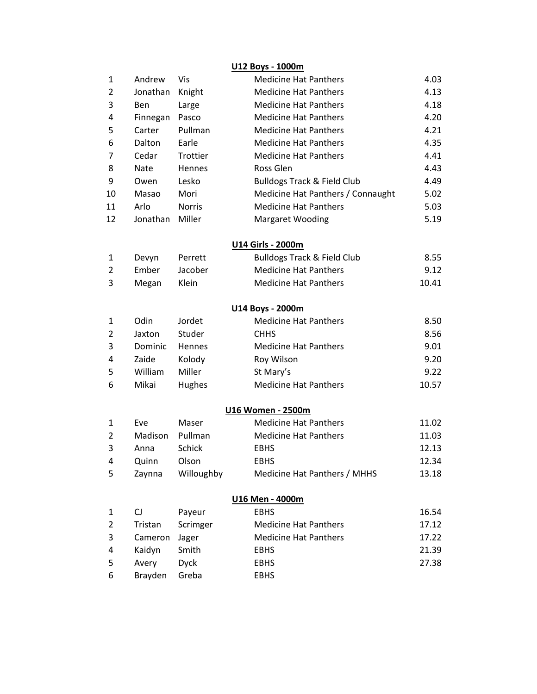### **U12 Boys - 1000m**

| $\mathbf{1}$   | Andrew      | Vis           | <b>Medicine Hat Panthers</b>           | 4.03  |
|----------------|-------------|---------------|----------------------------------------|-------|
| 2              | Jonathan    | Knight        | <b>Medicine Hat Panthers</b>           | 4.13  |
| 3              | Ben         | Large         | <b>Medicine Hat Panthers</b>           | 4.18  |
| 4              | Finnegan    | Pasco         | <b>Medicine Hat Panthers</b>           | 4.20  |
| 5              | Carter      | Pullman       | <b>Medicine Hat Panthers</b>           | 4.21  |
| 6              | Dalton      | Earle         | <b>Medicine Hat Panthers</b>           | 4.35  |
| 7              | Cedar       | Trottier      | <b>Medicine Hat Panthers</b>           | 4.41  |
| 8              | <b>Nate</b> | Hennes        | Ross Glen                              | 4.43  |
| 9              | Owen        | Lesko         | <b>Bulldogs Track &amp; Field Club</b> | 4.49  |
| 10             | Masao       | Mori          | Medicine Hat Panthers / Connaught      | 5.02  |
| 11             | Arlo        | <b>Norris</b> | <b>Medicine Hat Panthers</b>           | 5.03  |
| 12             | Jonathan    | Miller        | <b>Margaret Wooding</b>                | 5.19  |
|                |             |               | U14 Girls - 2000m                      |       |
| 1              | Devyn       | Perrett       | <b>Bulldogs Track &amp; Field Club</b> | 8.55  |
| $\overline{2}$ | Ember       | Jacober       | <b>Medicine Hat Panthers</b>           | 9.12  |
| 3              | Megan       | Klein         | <b>Medicine Hat Panthers</b>           | 10.41 |
|                |             |               | U14 Boys - 2000m                       |       |
| 1              | Odin        | Jordet        | <b>Medicine Hat Panthers</b>           | 8.50  |
| 2              | Jaxton      | Studer        | <b>CHHS</b>                            | 8.56  |
| 3              | Dominic     | Hennes        | <b>Medicine Hat Panthers</b>           | 9.01  |
| 4              | Zaide       | Kolody        | Roy Wilson                             | 9.20  |
| 5              | William     | Miller        | St Mary's                              | 9.22  |
| 6              | Mikai       | <b>Hughes</b> | <b>Medicine Hat Panthers</b>           | 10.57 |
|                |             |               | <b>U16 Women - 2500m</b>               |       |
| 1              | Eve         | Maser         | <b>Medicine Hat Panthers</b>           | 11.02 |
| 2              | Madison     | Pullman       | <b>Medicine Hat Panthers</b>           | 11.03 |
| 3              | Anna        | <b>Schick</b> | <b>EBHS</b>                            | 12.13 |
| 4              | Quinn       | Olson         | <b>EBHS</b>                            | 12.34 |
| 5              | Zaynna      | Willoughby    | Medicine Hat Panthers / MHHS           | 13.18 |
|                |             |               | U16 Men - 4000m                        |       |
| 1              | CJ          | Payeur        | <b>EBHS</b>                            | 16.54 |
| $\overline{2}$ | Tristan     | Scrimger      | <b>Medicine Hat Panthers</b>           | 17.12 |
| 3              | Cameron     | Jager         | <b>Medicine Hat Panthers</b>           | 17.22 |
| 4              | Kaidyn      | Smith         | <b>EBHS</b>                            | 21.39 |
| 5              | Avery       | <b>Dyck</b>   | <b>EBHS</b>                            | 27.38 |
| 6              | Brayden     | Greba         | <b>EBHS</b>                            |       |